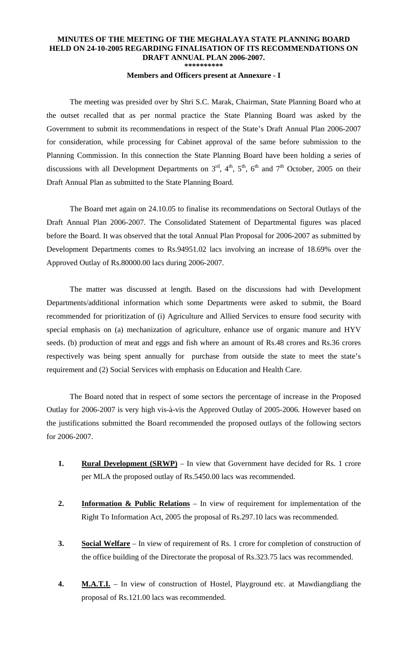## **MINUTES OF THE MEETING OF THE MEGHALAYA STATE PLANNING BOARD HELD ON 24-10-2005 REGARDING FINALISATION OF ITS RECOMMENDATIONS ON DRAFT ANNUAL PLAN 2006-2007. \*\*\*\*\*\*\*\*\*\***

**Members and Officers present at Annexure - I** 

The meeting was presided over by Shri S.C. Marak, Chairman, State Planning Board who at the outset recalled that as per normal practice the State Planning Board was asked by the Government to submit its recommendations in respect of the State's Draft Annual Plan 2006-2007 for consideration, while processing for Cabinet approval of the same before submission to the Planning Commission. In this connection the State Planning Board have been holding a series of discussions with all Development Departments on  $3<sup>rd</sup>$ ,  $4<sup>th</sup>$ ,  $5<sup>th</sup>$ ,  $6<sup>th</sup>$  and  $7<sup>th</sup>$  October, 2005 on their Draft Annual Plan as submitted to the State Planning Board.

 The Board met again on 24.10.05 to finalise its recommendations on Sectoral Outlays of the Draft Annual Plan 2006-2007. The Consolidated Statement of Departmental figures was placed before the Board. It was observed that the total Annual Plan Proposal for 2006-2007 as submitted by Development Departments comes to Rs.94951.02 lacs involving an increase of 18.69% over the Approved Outlay of Rs.80000.00 lacs during 2006-2007.

 The matter was discussed at length. Based on the discussions had with Development Departments/additional information which some Departments were asked to submit, the Board recommended for prioritization of (i) Agriculture and Allied Services to ensure food security with special emphasis on (a) mechanization of agriculture, enhance use of organic manure and HYV seeds. (b) production of meat and eggs and fish where an amount of Rs.48 crores and Rs.36 crores respectively was being spent annually for purchase from outside the state to meet the state's requirement and (2) Social Services with emphasis on Education and Health Care.

 The Board noted that in respect of some sectors the percentage of increase in the Proposed Outlay for 2006-2007 is very high vis-à-vis the Approved Outlay of 2005-2006. However based on the justifications submitted the Board recommended the proposed outlays of the following sectors for 2006-2007.

- **1.** Rural Development (SRWP) In view that Government have decided for Rs. 1 crore per MLA the proposed outlay of Rs.5450.00 lacs was recommended.
- **2. Information & Public Relations** In view of requirement for implementation of the Right To Information Act, 2005 the proposal of Rs.297.10 lacs was recommended.
- **3. Social Welfare** In view of requirement of Rs. 1 crore for completion of construction of the office building of the Directorate the proposal of Rs.323.75 lacs was recommended.
- **4. M.A.T.I.** In view of construction of Hostel, Playground etc. at Mawdiangdiang the proposal of Rs.121.00 lacs was recommended.